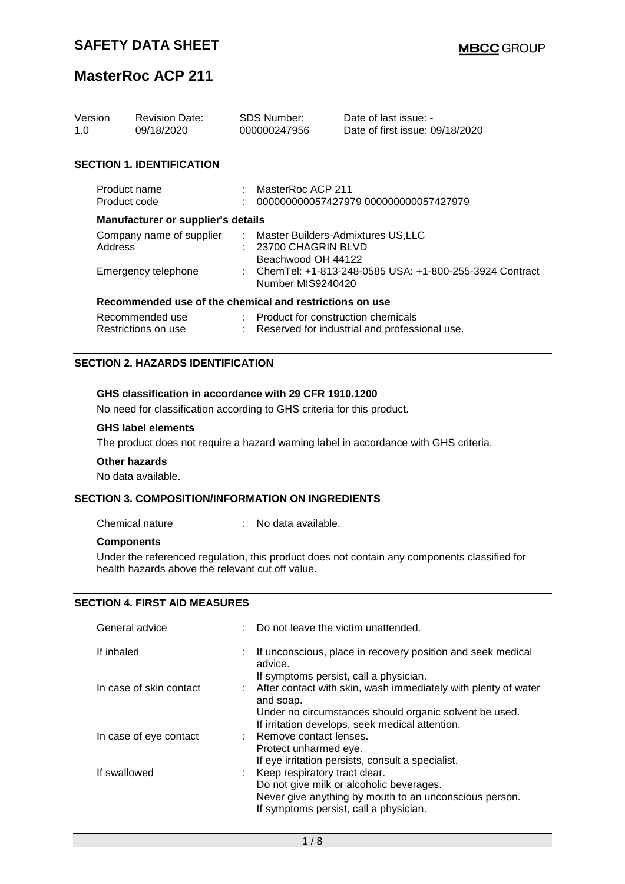| Version<br>1.0                            | <b>Revision Date:</b><br>09/18/2020                     |  | SDS Number:<br>000000247956                                                       | Date of last issue: -<br>Date of first issue: 09/18/2020 |  |
|-------------------------------------------|---------------------------------------------------------|--|-----------------------------------------------------------------------------------|----------------------------------------------------------|--|
|                                           | <b>SECTION 1. IDENTIFICATION</b>                        |  |                                                                                   |                                                          |  |
| Product name<br>Product code              |                                                         |  | MasterRoc ACP 211<br>000000000057427979 000000000057427979                        |                                                          |  |
| <b>Manufacturer or supplier's details</b> |                                                         |  |                                                                                   |                                                          |  |
| Company name of supplier<br>Address       |                                                         |  | : Master Builders-Admixtures US,LLC<br>: 23700 CHAGRIN BLVD<br>Beachwood OH 44122 |                                                          |  |
| Emergency telephone                       |                                                         |  | : ChemTel: +1-813-248-0585 USA: +1-800-255-3924 Contract<br>Number MIS9240420     |                                                          |  |
|                                           | Recommended use of the chemical and restrictions on use |  |                                                                                   |                                                          |  |
| Recommended use<br>Restrictions on use    |                                                         |  | : Product for construction chemicals                                              | Reserved for industrial and professional use.            |  |

### **SECTION 2. HAZARDS IDENTIFICATION**

### **GHS classification in accordance with 29 CFR 1910.1200**

No need for classification according to GHS criteria for this product.

#### **GHS label elements**

The product does not require a hazard warning label in accordance with GHS criteria.

#### **Other hazards**

No data available.

### **SECTION 3. COMPOSITION/INFORMATION ON INGREDIENTS**

Chemical nature : No data available.

#### **Components**

Under the referenced regulation, this product does not contain any components classified for health hazards above the relevant cut off value.

### **SECTION 4. FIRST AID MEASURES**

| General advice          | Do not leave the victim unattended.                                         |
|-------------------------|-----------------------------------------------------------------------------|
| If inhaled              | If unconscious, place in recovery position and seek medical<br>advice.      |
|                         | If symptoms persist, call a physician.                                      |
| In case of skin contact | After contact with skin, wash immediately with plenty of water<br>and soap. |
|                         | Under no circumstances should organic solvent be used.                      |
|                         | If irritation develops, seek medical attention.                             |
| In case of eye contact  | : Remove contact lenses.                                                    |
|                         | Protect unharmed eye.                                                       |
|                         | If eye irritation persists, consult a specialist.                           |
| If swallowed            | : Keep respiratory tract clear.                                             |
|                         | Do not give milk or alcoholic beverages.                                    |
|                         | Never give anything by mouth to an unconscious person.                      |
|                         | If symptoms persist, call a physician.                                      |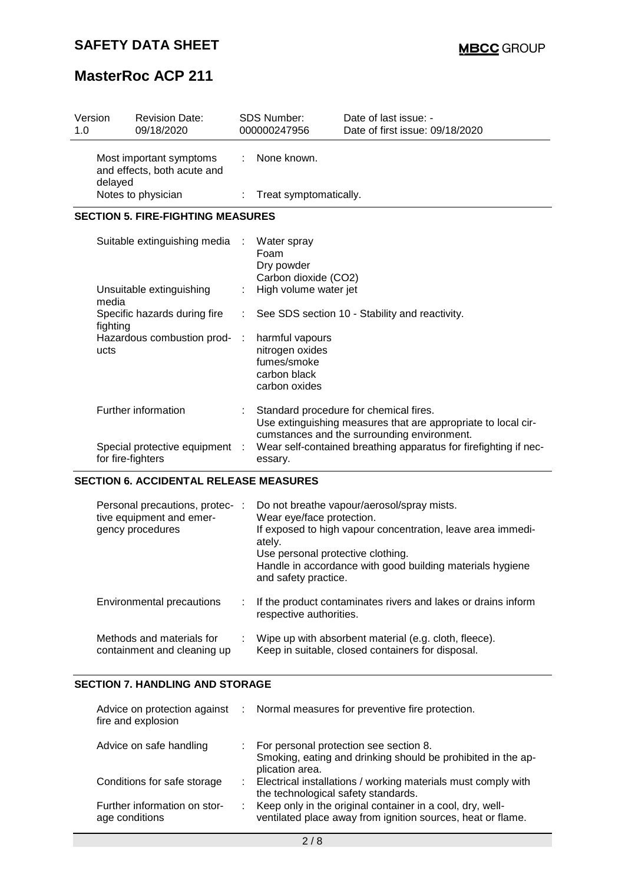| Version<br>1.0                                                    |                                               | <b>Revision Date:</b><br>09/18/2020      |                                                      | <b>SDS Number:</b><br>000000247956                                                                                                                     | Date of last issue: -<br>Date of first issue: 09/18/2020 |  |  |  |  |
|-------------------------------------------------------------------|-----------------------------------------------|------------------------------------------|------------------------------------------------------|--------------------------------------------------------------------------------------------------------------------------------------------------------|----------------------------------------------------------|--|--|--|--|
| Most important symptoms<br>and effects, both acute and<br>delayed |                                               | ÷.                                       | None known.                                          |                                                                                                                                                        |                                                          |  |  |  |  |
|                                                                   |                                               | Notes to physician                       | ÷                                                    | Treat symptomatically.                                                                                                                                 |                                                          |  |  |  |  |
|                                                                   |                                               | <b>SECTION 5. FIRE-FIGHTING MEASURES</b> |                                                      |                                                                                                                                                        |                                                          |  |  |  |  |
|                                                                   |                                               | Suitable extinguishing media             | - 11                                                 | Water spray<br>Foam<br>Dry powder<br>Carbon dioxide (CO2)                                                                                              |                                                          |  |  |  |  |
|                                                                   | media                                         | Unsuitable extinguishing                 |                                                      | High volume water jet                                                                                                                                  |                                                          |  |  |  |  |
|                                                                   | fighting                                      | Specific hazards during fire             | See SDS section 10 - Stability and reactivity.<br>÷. |                                                                                                                                                        |                                                          |  |  |  |  |
|                                                                   | ucts                                          | Hazardous combustion prod-               |                                                      | harmful vapours<br>nitrogen oxides<br>fumes/smoke<br>carbon black<br>carbon oxides                                                                     |                                                          |  |  |  |  |
|                                                                   |                                               | Further information                      |                                                      | Standard procedure for chemical fires.<br>Use extinguishing measures that are appropriate to local cir-<br>cumstances and the surrounding environment. |                                                          |  |  |  |  |
|                                                                   | for fire-fighters                             | Special protective equipment             |                                                      | Wear self-contained breathing apparatus for firefighting if nec-<br>essary.                                                                            |                                                          |  |  |  |  |
|                                                                   | <b>SECTION 6. ACCIDENTAL RELEASE MEASURES</b> |                                          |                                                      |                                                                                                                                                        |                                                          |  |  |  |  |

### **SECTION 6. ACCIDENTAL RELEASE MEASURES**

| Personal precautions, protec- :<br>tive equipment and emer-<br>gency procedures | Do not breathe vapour/aerosol/spray mists.<br>Wear eye/face protection.<br>If exposed to high vapour concentration, leave area immedi-<br>ately.<br>Use personal protective clothing.<br>Handle in accordance with good building materials hygiene<br>and safety practice. |
|---------------------------------------------------------------------------------|----------------------------------------------------------------------------------------------------------------------------------------------------------------------------------------------------------------------------------------------------------------------------|
| Environmental precautions                                                       | : If the product contaminates rivers and lakes or drains inform<br>respective authorities.                                                                                                                                                                                 |
| Methods and materials for<br>containment and cleaning up                        | Wipe up with absorbent material (e.g. cloth, fleece).<br>Keep in suitable, closed containers for disposal.                                                                                                                                                                 |

## **SECTION 7. HANDLING AND STORAGE**

| fire and explosion                             | Advice on protection against : Normal measures for preventive fire protection.                                              |
|------------------------------------------------|-----------------------------------------------------------------------------------------------------------------------------|
| Advice on safe handling                        | : For personal protection see section 8.<br>Smoking, eating and drinking should be prohibited in the ap-<br>plication area. |
| Conditions for safe storage                    | : Electrical installations / working materials must comply with<br>the technological safety standards.                      |
| Further information on stor-<br>age conditions | Keep only in the original container in a cool, dry, well-<br>ventilated place away from ignition sources, heat or flame.    |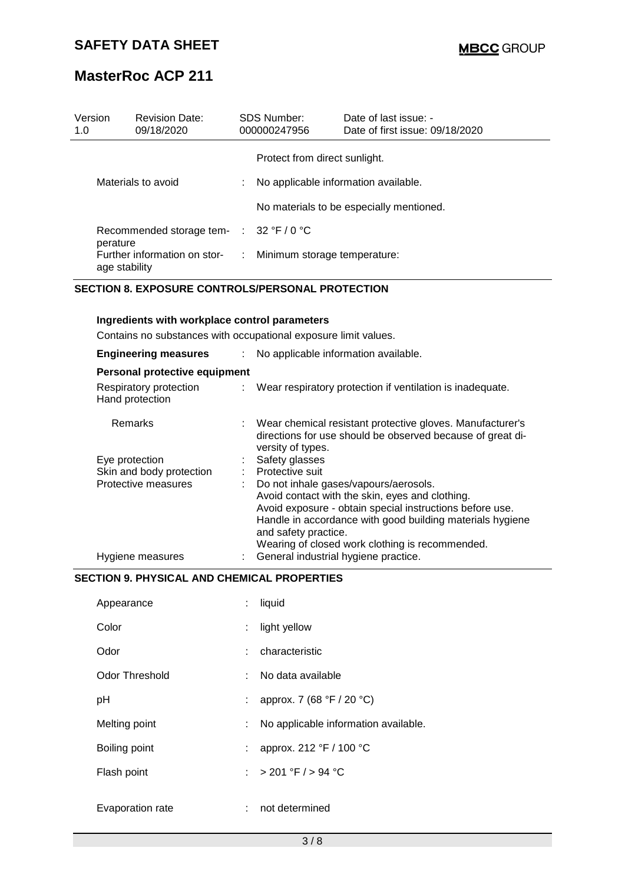| Version<br>1.0     | <b>Revision Date:</b><br>09/18/2020           | SDS Number:<br>000000247956 |                                      | Date of last issue: -<br>Date of first issue: 09/18/2020 |
|--------------------|-----------------------------------------------|-----------------------------|--------------------------------------|----------------------------------------------------------|
|                    |                                               |                             | Protect from direct sunlight.        |                                                          |
| Materials to avoid |                                               | ÷                           | No applicable information available. |                                                          |
|                    |                                               |                             |                                      | No materials to be especially mentioned.                 |
|                    | Recommended storage tem- : 32 °F / 0 °C       |                             |                                      |                                                          |
| perature           | Further information on stor-<br>age stability | ÷                           | Minimum storage temperature:         |                                                          |

### **SECTION 8. EXPOSURE CONTROLS/PERSONAL PROTECTION**

### **Ingredients with workplace control parameters**

Contains no substances with occupational exposure limit values.

| <b>Engineering measures</b>               | No applicable information available.                                                                                                         |
|-------------------------------------------|----------------------------------------------------------------------------------------------------------------------------------------------|
| Personal protective equipment             |                                                                                                                                              |
| Respiratory protection<br>Hand protection | : Wear respiratory protection if ventilation is inadequate.                                                                                  |
| <b>Remarks</b>                            | Wear chemical resistant protective gloves. Manufacturer's<br>directions for use should be observed because of great di-<br>versity of types. |
| Eye protection                            | Safety glasses                                                                                                                               |
| Skin and body protection                  | Protective suit                                                                                                                              |
| Protective measures                       | Do not inhale gases/vapours/aerosols.                                                                                                        |
|                                           | Avoid contact with the skin, eyes and clothing.                                                                                              |
|                                           | Avoid exposure - obtain special instructions before use.                                                                                     |
|                                           | Handle in accordance with good building materials hygiene<br>and safety practice.                                                            |
|                                           | Wearing of closed work clothing is recommended.                                                                                              |
| Hygiene measures                          | General industrial hygiene practice.                                                                                                         |

## **SECTION 9. PHYSICAL AND CHEMICAL PROPERTIES**

| Appearance       | ÷  | liquid                               |
|------------------|----|--------------------------------------|
| Color            | ÷  | light yellow                         |
| Odor             |    | : characteristic                     |
| Odor Threshold   | t. | No data available                    |
| рH               | t. | approx. 7 (68 °F / 20 °C)            |
| Melting point    | ÷  | No applicable information available. |
| Boiling point    | ÷  | approx. 212 °F / 100 °C              |
| Flash point      |    | : > 201 °F / > 94 °C                 |
| Evaporation rate | t. | not determined                       |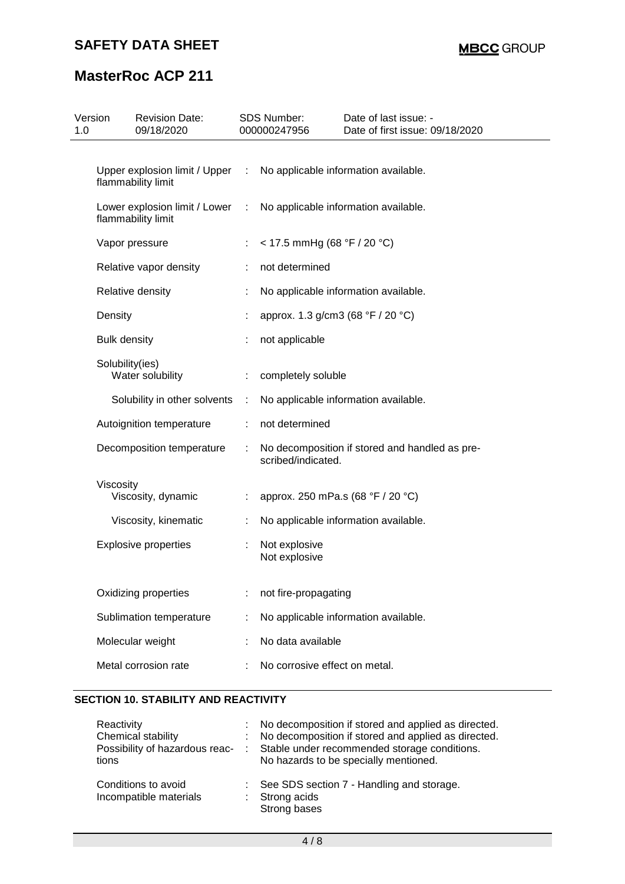| Version<br>1.0 | <b>Revision Date:</b><br>09/18/2020                 |               | SDS Number:<br>000000247956       | Date of last issue: -<br>Date of first issue: 09/18/2020 |
|----------------|-----------------------------------------------------|---------------|-----------------------------------|----------------------------------------------------------|
|                |                                                     |               |                                   |                                                          |
|                | Upper explosion limit / Upper<br>flammability limit | $\sim 100$    |                                   | No applicable information available.                     |
|                | Lower explosion limit / Lower<br>flammability limit | $\mathcal{L}$ |                                   | No applicable information available.                     |
|                | Vapor pressure                                      | ÷             | < 17.5 mmHg (68 °F / 20 °C)       |                                                          |
|                | Relative vapor density                              | ÷             | not determined                    |                                                          |
|                | Relative density                                    |               |                                   | No applicable information available.                     |
|                | Density                                             |               | approx. 1.3 g/cm3 (68 °F / 20 °C) |                                                          |
|                | <b>Bulk density</b>                                 |               | not applicable                    |                                                          |
|                | Solubility(ies)<br>Water solubility                 | ÷             | completely soluble                |                                                          |
|                | Solubility in other solvents                        | ÷             |                                   | No applicable information available.                     |
|                | Autoignition temperature                            | ÷             | not determined                    |                                                          |
|                | Decomposition temperature                           |               | scribed/indicated.                | No decomposition if stored and handled as pre-           |
|                | Viscosity<br>Viscosity, dynamic                     | ÷             |                                   | approx. 250 mPa.s (68 °F / 20 °C)                        |
|                | Viscosity, kinematic                                | ÷             |                                   | No applicable information available.                     |
|                | <b>Explosive properties</b>                         | ÷             | Not explosive<br>Not explosive    |                                                          |
|                | Oxidizing properties                                |               | not fire-propagating              |                                                          |
|                | Sublimation temperature                             |               |                                   | No applicable information available.                     |
|                | Molecular weight                                    |               | No data available                 |                                                          |
|                | Metal corrosion rate                                |               | No corrosive effect on metal.     |                                                          |

## **SECTION 10. STABILITY AND REACTIVITY**

| Reactivity<br>Chemical stability<br>Possibility of hazardous reac-<br>tions | : No decomposition if stored and applied as directed.<br>No decomposition if stored and applied as directed.<br>Stable under recommended storage conditions.<br>No hazards to be specially mentioned. |
|-----------------------------------------------------------------------------|-------------------------------------------------------------------------------------------------------------------------------------------------------------------------------------------------------|
| Conditions to avoid<br>Incompatible materials                               | See SDS section 7 - Handling and storage.<br>Strong acids<br>Strong bases                                                                                                                             |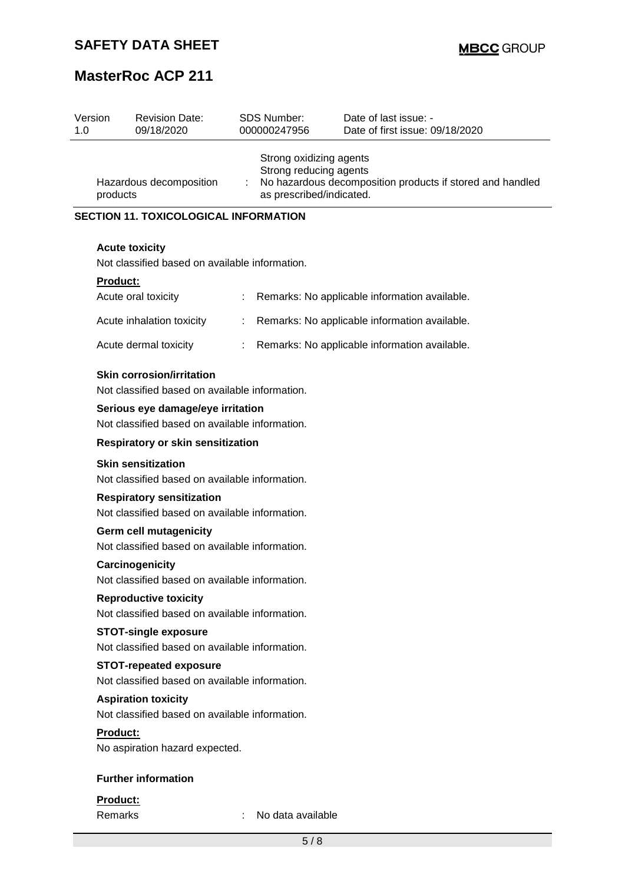| Version<br>1.0 |                                                                                    | <b>Revision Date:</b><br>09/18/2020                                                 |    | <b>SDS Number:</b><br>000000247956                                                                                                         | Date of last issue: -<br>Date of first issue: 09/18/2020 |  |
|----------------|------------------------------------------------------------------------------------|-------------------------------------------------------------------------------------|----|--------------------------------------------------------------------------------------------------------------------------------------------|----------------------------------------------------------|--|
|                | Hazardous decomposition<br>products                                                |                                                                                     |    | Strong oxidizing agents<br>Strong reducing agents<br>No hazardous decomposition products if stored and handled<br>as prescribed/indicated. |                                                          |  |
|                |                                                                                    | <b>SECTION 11. TOXICOLOGICAL INFORMATION</b>                                        |    |                                                                                                                                            |                                                          |  |
|                |                                                                                    | <b>Acute toxicity</b><br>Not classified based on available information.             |    |                                                                                                                                            |                                                          |  |
|                | Product:                                                                           |                                                                                     |    |                                                                                                                                            |                                                          |  |
|                |                                                                                    | Acute oral toxicity                                                                 | ÷  |                                                                                                                                            | Remarks: No applicable information available.            |  |
|                |                                                                                    | Acute inhalation toxicity                                                           | ÷  |                                                                                                                                            | Remarks: No applicable information available.            |  |
|                |                                                                                    | Acute dermal toxicity                                                               | ÷. |                                                                                                                                            | Remarks: No applicable information available.            |  |
|                |                                                                                    | <b>Skin corrosion/irritation</b><br>Not classified based on available information.  |    |                                                                                                                                            |                                                          |  |
|                |                                                                                    | Serious eye damage/eye irritation<br>Not classified based on available information. |    |                                                                                                                                            |                                                          |  |
|                | <b>Respiratory or skin sensitization</b>                                           |                                                                                     |    |                                                                                                                                            |                                                          |  |
|                | <b>Skin sensitization</b><br>Not classified based on available information.        |                                                                                     |    |                                                                                                                                            |                                                          |  |
|                | <b>Respiratory sensitization</b><br>Not classified based on available information. |                                                                                     |    |                                                                                                                                            |                                                          |  |
|                | <b>Germ cell mutagenicity</b><br>Not classified based on available information.    |                                                                                     |    |                                                                                                                                            |                                                          |  |
|                | Carcinogenicity<br>Not classified based on available information.                  |                                                                                     |    |                                                                                                                                            |                                                          |  |
|                | <b>Reproductive toxicity</b><br>Not classified based on available information.     |                                                                                     |    |                                                                                                                                            |                                                          |  |
|                |                                                                                    | <b>STOT-single exposure</b><br>Not classified based on available information.       |    |                                                                                                                                            |                                                          |  |
|                |                                                                                    | <b>STOT-repeated exposure</b><br>Not classified based on available information.     |    |                                                                                                                                            |                                                          |  |
|                |                                                                                    | <b>Aspiration toxicity</b><br>Not classified based on available information.        |    |                                                                                                                                            |                                                          |  |
|                | Product:                                                                           | No aspiration hazard expected.                                                      |    |                                                                                                                                            |                                                          |  |
|                |                                                                                    | <b>Further information</b>                                                          |    |                                                                                                                                            |                                                          |  |
|                | Product:                                                                           |                                                                                     |    |                                                                                                                                            |                                                          |  |
|                | Remarks                                                                            |                                                                                     |    | No data available                                                                                                                          |                                                          |  |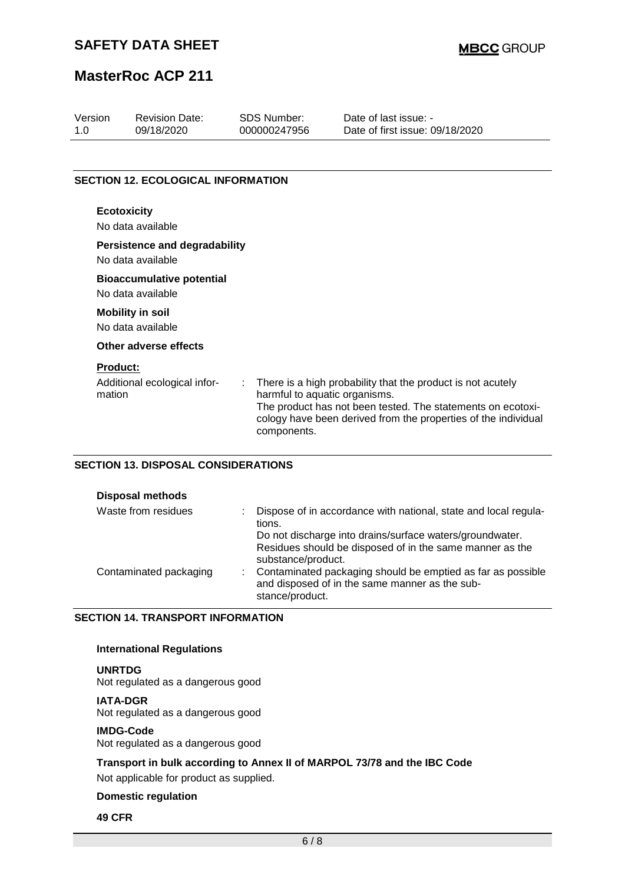| Version<br>1.0            | <b>Revision Date:</b><br>09/18/2020                   | <b>SDS Number:</b><br>000000247956           | Date of last issue: -<br>Date of first issue: 09/18/2020                                                                                                                                     |
|---------------------------|-------------------------------------------------------|----------------------------------------------|----------------------------------------------------------------------------------------------------------------------------------------------------------------------------------------------|
|                           |                                                       |                                              |                                                                                                                                                                                              |
|                           | <b>SECTION 12. ECOLOGICAL INFORMATION</b>             |                                              |                                                                                                                                                                                              |
| <b>Ecotoxicity</b>        | No data available                                     |                                              |                                                                                                                                                                                              |
|                           | Persistence and degradability<br>No data available    |                                              |                                                                                                                                                                                              |
|                           | <b>Bioaccumulative potential</b><br>No data available |                                              |                                                                                                                                                                                              |
|                           | <b>Mobility in soil</b><br>No data available          |                                              |                                                                                                                                                                                              |
|                           | Other adverse effects                                 |                                              |                                                                                                                                                                                              |
| <b>Product:</b><br>mation | Additional ecological infor-                          | harmful to aquatic organisms.<br>components. | There is a high probability that the product is not acutely<br>The product has not been tested. The statements on ecotoxi-<br>cology have been derived from the properties of the individual |

## **SECTION 13. DISPOSAL CONSIDERATIONS**

| <b>Disposal methods</b> |                                                                                                                                            |
|-------------------------|--------------------------------------------------------------------------------------------------------------------------------------------|
| Waste from residues     | Dispose of in accordance with national, state and local regula-<br>tions.                                                                  |
|                         | Do not discharge into drains/surface waters/groundwater.<br>Residues should be disposed of in the same manner as the<br>substance/product. |
| Contaminated packaging  | Contaminated packaging should be emptied as far as possible<br>and disposed of in the same manner as the sub-<br>stance/product.           |

### **SECTION 14. TRANSPORT INFORMATION**

## **International Regulations**

**UNRTDG** Not regulated as a dangerous good

### **IATA-DGR**

Not regulated as a dangerous good

## **IMDG-Code**

Not regulated as a dangerous good

## **Transport in bulk according to Annex II of MARPOL 73/78 and the IBC Code**

Not applicable for product as supplied.

### **Domestic regulation**

#### **49 CFR**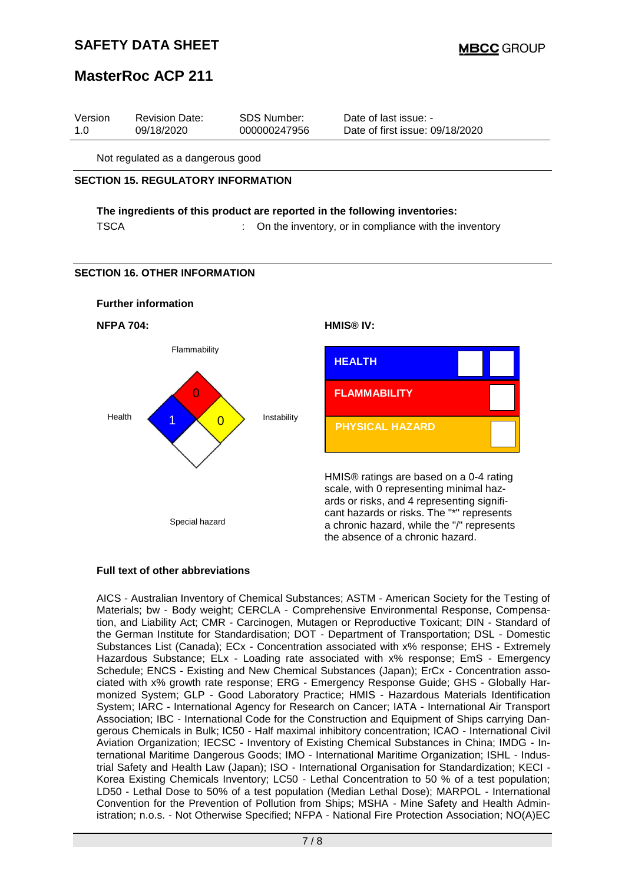## **SAFETY DATA SHEET**

## **MasterRoc ACP 211**

| Version | <b>Revision Date:</b> | SDS Number:  | Date of last issue: -           |  |
|---------|-----------------------|--------------|---------------------------------|--|
| 1.0     | 09/18/2020            | 000000247956 | Date of first issue: 09/18/2020 |  |
|         |                       |              |                                 |  |

Not regulated as a dangerous good

#### **SECTION 15. REGULATORY INFORMATION**

### **The ingredients of this product are reported in the following inventories:** TSCA : Con the inventory, or in compliance with the inventory

### **SECTION 16. OTHER INFORMATION**



**NFPA 704: HMIS® IV:**





HMIS® ratings are based on a 0-4 rating scale, with 0 representing minimal hazards or risks, and 4 representing significant hazards or risks. The "\*" represents a chronic hazard, while the "/" represents the absence of a chronic hazard.

### **Full text of other abbreviations**

AICS - Australian Inventory of Chemical Substances; ASTM - American Society for the Testing of Materials; bw - Body weight; CERCLA - Comprehensive Environmental Response, Compensation, and Liability Act; CMR - Carcinogen, Mutagen or Reproductive Toxicant; DIN - Standard of the German Institute for Standardisation; DOT - Department of Transportation; DSL - Domestic Substances List (Canada); ECx - Concentration associated with x% response; EHS - Extremely Hazardous Substance; ELx - Loading rate associated with x% response; EmS - Emergency Schedule; ENCS - Existing and New Chemical Substances (Japan); ErCx - Concentration associated with x% growth rate response; ERG - Emergency Response Guide; GHS - Globally Harmonized System; GLP - Good Laboratory Practice; HMIS - Hazardous Materials Identification System; IARC - International Agency for Research on Cancer; IATA - International Air Transport Association; IBC - International Code for the Construction and Equipment of Ships carrying Dangerous Chemicals in Bulk; IC50 - Half maximal inhibitory concentration; ICAO - International Civil Aviation Organization; IECSC - Inventory of Existing Chemical Substances in China; IMDG - International Maritime Dangerous Goods; IMO - International Maritime Organization; ISHL - Industrial Safety and Health Law (Japan); ISO - International Organisation for Standardization; KECI - Korea Existing Chemicals Inventory; LC50 - Lethal Concentration to 50 % of a test population; LD50 - Lethal Dose to 50% of a test population (Median Lethal Dose); MARPOL - International Convention for the Prevention of Pollution from Ships; MSHA - Mine Safety and Health Administration; n.o.s. - Not Otherwise Specified; NFPA - National Fire Protection Association; NO(A)EC